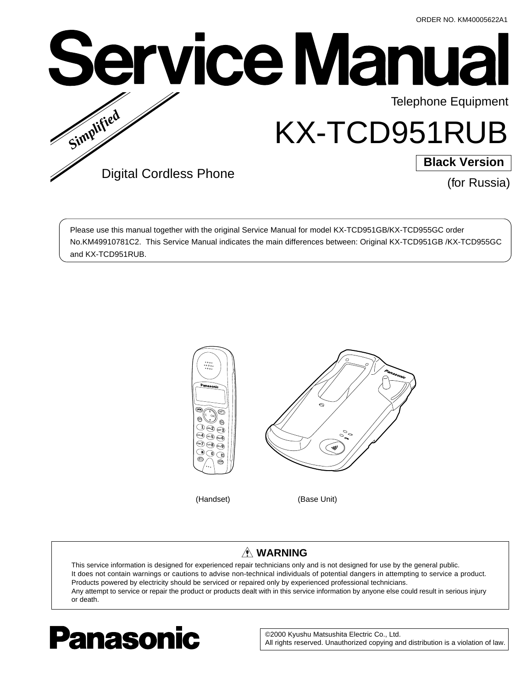

Please use this manual together with the original Service Manual for model KX-TCD951GB/KX-TCD955GC order No.KM49910781C2. This Service Manual indicates the main differences between: Original KX-TCD951GB /KX-TCD955GC and KX-TCD951RUB.



# **WARNING**

This service information is designed for experienced repair technicians only and is not designed for use by the general public. It does not contain warnings or cautions to advise non-technical individuals of potential dangers in attempting to service a product. Products powered by electricity should be serviced or repaired only by experienced professional technicians. Any attempt to service or repair the product or products dealt with in this service information by anyone else could result in serious injury or death.



©2000 Kyushu Matsushita Electric Co., Ltd. All rights reserved. Unauthorized copying and distribution is a violation of law.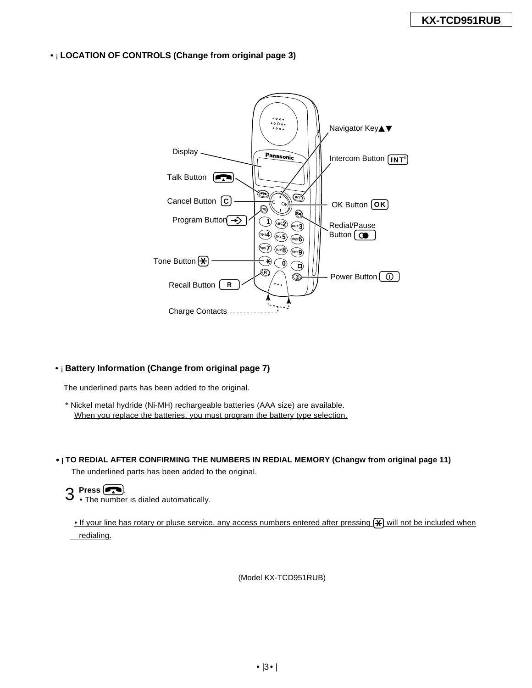# •¡ **LOCATION OF CONTROLS (Change from original page 3)**



# •¡ **Battery Information (Change from original page 7)**

The underlined parts has been added to the original.

\* Nickel metal hydride (Ni-MH) rechargeable batteries (AAA size) are available. When you replace the batteries, you must program the battery type selection.

# •¡**TO REDIAL AFTER CONFIRMING THE NUMBERS IN REDIAL MEMORY (Changw from original page 11)**

The underlined parts has been added to the original.

# 3 **Press** .

• The number is dialed automatically.

• If your line has rotary or pluse service, any access numbers entered after pressing  $\mathbb H$  will not be included when redialing.

(Model KX-TCD951RUB)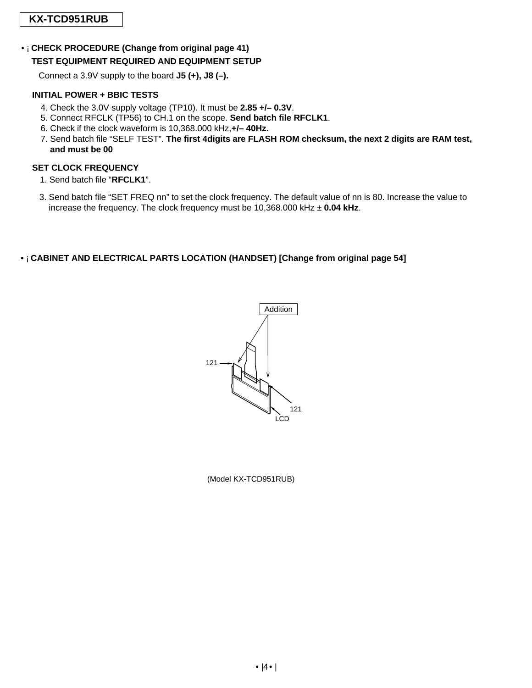# **KX-TCD951RUB**

# •¡ **CHECK PROCEDURE (Change from original page 41) TEST EQUIPMENT REQUIRED AND EQUIPMENT SETUP**

Connect a 3.9V supply to the board **J5 (+), J8 (–).**

# **INITIAL POWER + BBIC TESTS**

- 4. Check the 3.0V supply voltage (TP10). It must be **2.85 +/– 0.3V**.
- 5. Connect RFCLK (TP56) to CH.1 on the scope. **Send batch file RFCLK1**.
- 6. Check if the clock waveform is 10,368.000 kHz,**+/– 40Hz.**
- 7. Send batch file "SELF TEST". **The first 4digits are FLASH ROM checksum, the next 2 digits are RAM test, and must be 00**

# **SET CLOCK FREQUENCY**

- 1. Send batch file "**RFCLK1**".
- 3. Send batch file "SET FREQ nn" to set the clock frequency. The default value of nn is 80. Increase the value to increase the frequency. The clock frequency must be 10,368.000 kHz ± **0.04 kHz**.

# •¡ **CABINET AND ELECTRICAL PARTS LOCATION (HANDSET) [Change from original page 54]**



(Model KX-TCD951RUB)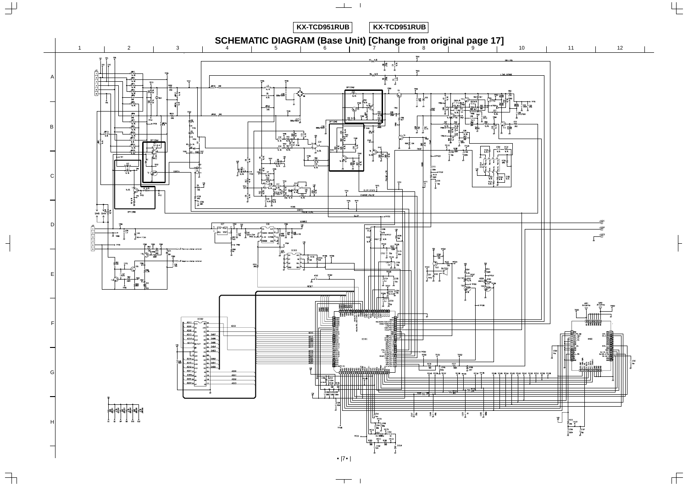